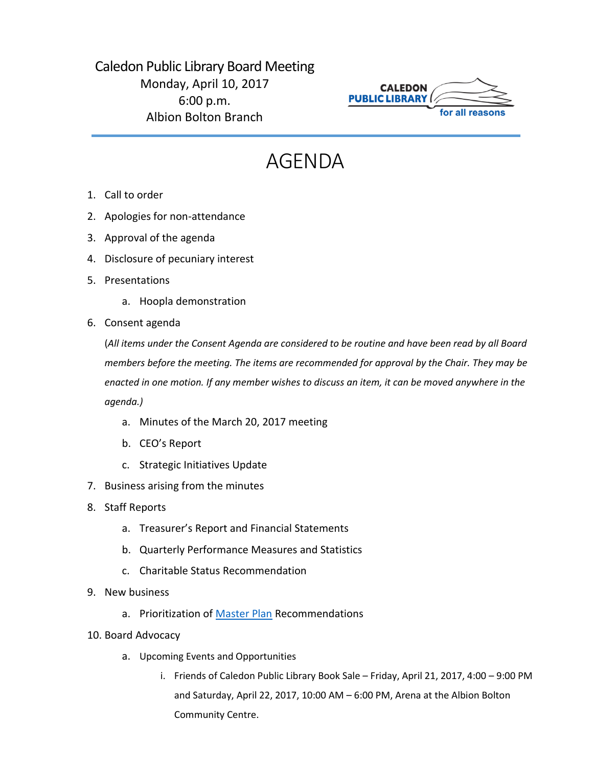## Caledon Public Library Board Meeting Monday, April 10, 2017 6:00 p.m. Albion Bolton Branch



## AGENDA

- 1. Call to order
- 2. Apologies for non-attendance
- 3. Approval of the agenda
- 4. Disclosure of pecuniary interest
- 5. Presentations
	- a. Hoopla demonstration
- 6. Consent agenda

(*All items under the Consent Agenda are considered to be routine and have been read by all Board members before the meeting. The items are recommended for approval by the Chair. They may be enacted in one motion. If any member wishes to discuss an item, it can be moved anywhere in the agenda.)*

- a. Minutes of the March 20, 2017 meeting
- b. CEO's Report
- c. Strategic Initiatives Update
- 7. Business arising from the minutes
- 8. Staff Reports
	- a. Treasurer's Report and Financial Statements
	- b. Quarterly Performance Measures and Statistics
	- c. Charitable Status Recommendation
- 9. New business
	- a. Prioritization of [Master Plan](https://www.caledon.ca/en/calendar/meetings/Details.aspx?Id=1cbcf723-0409-4903-b0a3-6d7e6a88e5ee) Recommendations
- 10. Board Advocacy
	- a. Upcoming Events and Opportunities
		- i. Friends of Caledon Public Library Book Sale Friday, April 21, 2017, 4:00 9:00 PM and Saturday, April 22, 2017, 10:00 AM – 6:00 PM, Arena at the Albion Bolton Community Centre.